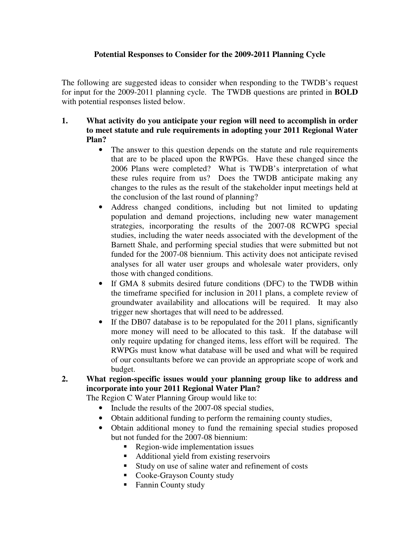## **Potential Responses to Consider for the 2009-2011 Planning Cycle**

The following are suggested ideas to consider when responding to the TWDB's request for input for the 2009-2011 planning cycle. The TWDB questions are printed in **BOLD** with potential responses listed below.

- **1. What activity do you anticipate your region will need to accomplish in order to meet statute and rule requirements in adopting your 2011 Regional Water Plan?**
	- The answer to this question depends on the statute and rule requirements that are to be placed upon the RWPGs. Have these changed since the 2006 Plans were completed? What is TWDB's interpretation of what these rules require from us? Does the TWDB anticipate making any changes to the rules as the result of the stakeholder input meetings held at the conclusion of the last round of planning?
	- Address changed conditions, including but not limited to updating population and demand projections, including new water management strategies, incorporating the results of the 2007-08 RCWPG special studies, including the water needs associated with the development of the Barnett Shale, and performing special studies that were submitted but not funded for the 2007-08 biennium. This activity does not anticipate revised analyses for all water user groups and wholesale water providers, only those with changed conditions.
	- If GMA 8 submits desired future conditions (DFC) to the TWDB within the timeframe specified for inclusion in 2011 plans, a complete review of groundwater availability and allocations will be required. It may also trigger new shortages that will need to be addressed.
	- If the DB07 database is to be repopulated for the 2011 plans, significantly more money will need to be allocated to this task. If the database will only require updating for changed items, less effort will be required. The RWPGs must know what database will be used and what will be required of our consultants before we can provide an appropriate scope of work and budget.
- **2. What region-specific issues would your planning group like to address and incorporate into your 2011 Regional Water Plan?**

The Region C Water Planning Group would like to:

- Include the results of the 2007-08 special studies,
- Obtain additional funding to perform the remaining county studies,
- Obtain additional money to fund the remaining special studies proposed but not funded for the 2007-08 biennium:
	- Region-wide implementation issues
	- Additional yield from existing reservoirs
	- Study on use of saline water and refinement of costs
	- Cooke-Grayson County study
	- Fannin County study